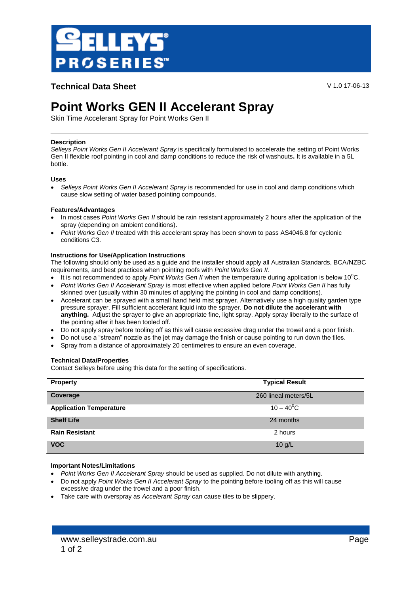

# **Technical Data Sheet** V 1.0 17-06-13

# **Point Works GEN II Accelerant Spray**

Skin Time Accelerant Spray for Point Works Gen II

# **Description**

*Selleys Point Works Gen II Accelerant Spray* is specifically formulated to accelerate the setting of Point Works Gen II flexible roof pointing in cool and damp conditions to reduce the risk of washouts**.** It is available in a 5L bottle.

# **Uses**

 *Selleys Point Works Gen II Accelerant Spray* is recommended for use in cool and damp conditions which cause slow setting of water based pointing compounds.

# **Features/Advantages**

- In most cases *Point Works Gen II* should be rain resistant approximately 2 hours after the application of the spray (depending on ambient conditions).
- *Point Works Gen II* treated with this accelerant spray has been shown to pass AS4046.8 for cyclonic conditions C3.

# **Instructions for Use/Application Instructions**

The following should only be used as a guide and the installer should apply all Australian Standards, BCA/NZBC requirements, and best practices when pointing roofs with *Point Works Gen II*.

- It is not recommended to apply *Point Works Gen II* when the temperature during application is below 10<sup>o</sup>C.
- *Point Works Gen II Accelerant Spray* is most effective when applied before *Point Works Gen II* has fully skinned over (usually within 30 minutes of applying the pointing in cool and damp conditions).
- Accelerant can be sprayed with a small hand held mist sprayer. Alternatively use a high quality garden type pressure sprayer. Fill sufficient accelerant liquid into the sprayer. **Do not dilute the accelerant with anything.** Adjust the sprayer to give an appropriate fine, light spray. Apply spray liberally to the surface of the pointing after it has been tooled off.
- Do not apply spray before tooling off as this will cause excessive drag under the trowel and a poor finish.
- Do not use a "stream" nozzle as the jet may damage the finish or cause pointing to run down the tiles.
- Spray from a distance of approximately 20 centimetres to ensure an even coverage.

#### **Technical Data/Properties**

Contact Selleys before using this data for the setting of specifications.

| <b>Property</b>                | <b>Typical Result</b> |
|--------------------------------|-----------------------|
| Coverage                       | 260 lineal meters/5L  |
| <b>Application Temperature</b> | $10 - 40^0C$          |
| <b>Shelf Life</b>              | 24 months             |
| <b>Rain Resistant</b>          | 2 hours               |
| <b>VOC</b>                     | $10$ g/L              |

# **Important Notes/Limitations**

- *Point Works Gen II Accelerant Spray* should be used as supplied. Do not dilute with anything.
- Do not apply *Point Works Gen II Accelerant Spray* to the pointing before tooling off as this will cause excessive drag under the trowel and a poor finish.
- Take care with overspray as *Accelerant Spray* can cause tiles to be slippery.